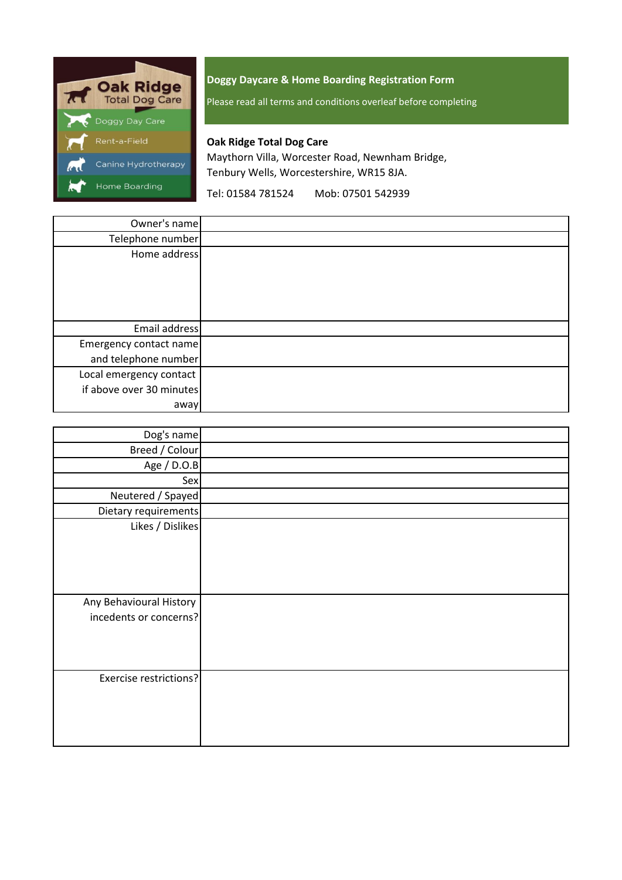

# **Doggy Daycare & Home Boarding Registration Form**

Please read all terms and conditions overleaf before completing

# **Oak Ridge Total Dog Care**

Maythorn Villa, Worcester Road, Newnham Bridge, Tenbury Wells, Worcestershire, WR15 8JA.

Tel: 01584 781524 Mob: 07501 542939

| Owner's name             |  |
|--------------------------|--|
| Telephone number         |  |
| Home address             |  |
|                          |  |
|                          |  |
| Email address            |  |
| Emergency contact name   |  |
| and telephone number     |  |
| Local emergency contact  |  |
| if above over 30 minutes |  |
| away                     |  |

| Dog's name                                        |  |
|---------------------------------------------------|--|
| Breed / Colour                                    |  |
| Age / D.O.B                                       |  |
| Sex                                               |  |
| Neutered / Spayed                                 |  |
| Dietary requirements                              |  |
| Likes / Dislikes                                  |  |
| Any Behavioural History<br>incedents or concerns? |  |
| <b>Exercise restrictions?</b>                     |  |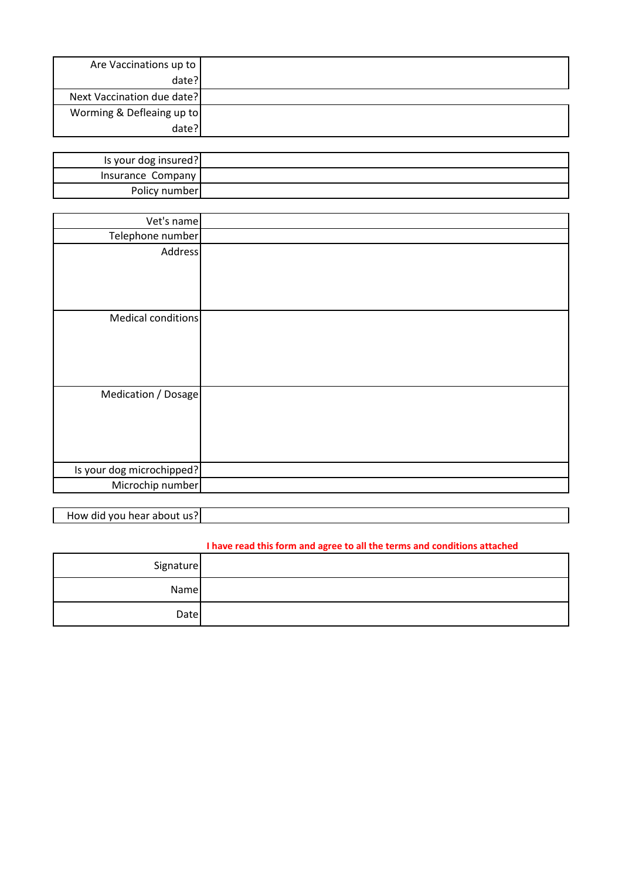| Are Vaccinations up to     |  |
|----------------------------|--|
| date?                      |  |
| Next Vaccination due date? |  |
| Worming & Defleaing up to  |  |
| date?                      |  |

| Is your dog insured? |  |
|----------------------|--|
| Insurance Company    |  |
| Policy number        |  |

| Vet's name                |  |
|---------------------------|--|
| Telephone number          |  |
| <b>Address</b>            |  |
|                           |  |
|                           |  |
|                           |  |
| Medical conditions        |  |
|                           |  |
|                           |  |
|                           |  |
|                           |  |
| Medication / Dosage       |  |
|                           |  |
|                           |  |
|                           |  |
|                           |  |
| Is your dog microchipped? |  |
| Microchip number          |  |

How did you hear about us?

# **I have read this form and agree to all the terms and conditions attached**

| Signature |  |
|-----------|--|
| Name      |  |
| Date      |  |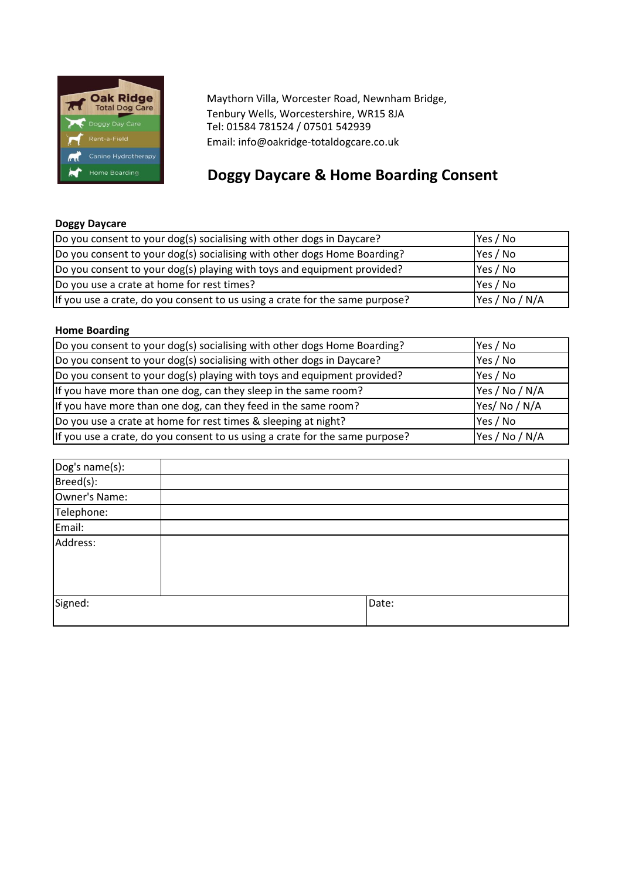

Maythorn Villa, Worcester Road, Newnham Bridge, Tenbury Wells, Worcestershire, WR15 8JA Tel: 01584 781524 / 07501 542939 Email: info@oakridge-totaldogcare.co.uk

# **Doggy Daycare & Home Boarding Consent**

# **Doggy Daycare**

| Do you consent to your dog(s) socialising with other dogs in Daycare?        | Yes / No       |
|------------------------------------------------------------------------------|----------------|
| Do you consent to your dog(s) socialising with other dogs Home Boarding?     | Yes / No       |
| Do you consent to your dog(s) playing with toys and equipment provided?      | Yes / No       |
| Do you use a crate at home for rest times?                                   | Yes / No       |
| If you use a crate, do you consent to us using a crate for the same purpose? | Yes / No / N/A |

# **Home Boarding**

| Do you consent to your dog(s) socialising with other dogs Home Boarding?     | Yes / No       |
|------------------------------------------------------------------------------|----------------|
| Do you consent to your dog(s) socialising with other dogs in Daycare?        | Yes / No       |
| Do you consent to your dog(s) playing with toys and equipment provided?      | Yes / No       |
| If you have more than one dog, can they sleep in the same room?              | Yes / No / N/A |
| If you have more than one dog, can they feed in the same room?               | Yes/No/N/A     |
| Do you use a crate at home for rest times & sleeping at night?               | Yes / No       |
| If you use a crate, do you consent to us using a crate for the same purpose? | Yes / No / N/A |

| Dog's name(s): |       |
|----------------|-------|
| Breed(s):      |       |
| Owner's Name:  |       |
| Telephone:     |       |
| Email:         |       |
| Address:       |       |
|                |       |
| Signed:        | Date: |